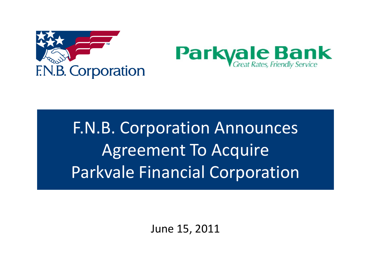



# F.N.B. Corporation Announces Agreement To Acquire Parkvale Financial Corporation

June 15, 2011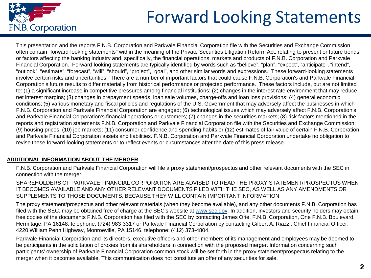

# Forward Looking Statements

This presentation and the reports F.N.B. Corporation and Parkvale Financial Corporation file with the Securities and Exchange Commission often contain "forward-looking statements" within the meaning of the Private Securities Litigation Reform Act, relating to present or future trends or factors affecting the banking industry and, specifically, the financial operations, markets and products of F.N.B. Corporation and Parkvale Financial Corporation. Forward-looking statements are typically identified by words such as "believe", "plan", "expect", "anticipate", "intend", "outlook", "estimate", "forecast", "will", "should", "project", "goal", and other similar words and expressions. These forward-looking statements involve certain risks and uncertainties. There are a number of important factors that could cause F.N.B. Corporation's and Parkvale Financial Corporation's future results to differ materially from historical performance or projected performance. These factors include, but are not limited to: (1) a significant increase in competitive pressures among financial institutions; (2) changes in the interest rate environment that may reduce net interest margins; (3) changes in prepayment speeds, loan sale volumes, charge-offs and loan loss provisions; (4) general economic conditions; (5) various monetary and fiscal policies and regulations of the U.S. Government that may adversely affect the businesses in which F.N.B. Corporation and Parkvale Financial Corporation are engaged; (6) technological issues which may adversely affect F.N.B. Corporation's and Parkvale Financial Corporation's financial operations or customers; (7) changes in the securities markets; (8) risk factors mentioned in the reports and registration statements F.N.B. Corporation and Parkvale Financial Corporation file with the Securities and Exchange Commission; (9) housing prices; (10) job markets; (11) consumer confidence and spending habits or (12) estimates of fair value of certain F.N.B. Corporation and Parkvale Financial Corporation assets and liabilities. F.N.B. Corporation and Parkvale Financial Corporation undertake no obligation to revise these forward-looking statements or to reflect events or circumstances after the date of this press release.

### **ADDITIONAL INFORMATION ABOUT THE MERGER**

F.N.B. Corporation and Parkvale Financial Corporation will file a proxy statement/prospectus and other relevant documents with the SEC in connection with the merger.

SHAREHOLDERS OF PARKVALE FINANCIAL CORPORATION ARE ADVISED TO READ THE PROXY STATEMENT/PROSPECTUS WHEN IT BECOMES AVAILABLE AND ANY OTHER RELEVANT DOCUMENTS FILED WITH THE SEC, AS WELL AS ANY AMENDMENTS OR SUPPLEMENTS TO THOSE DOCUMENTS, BECAUSE THEY WILL CONTAIN IMPORTANT INFORMATION.

The proxy statement/prospectus and other relevant materials (when they become available), and any other documents F.N.B. Corporation has filed with the SEC, may be obtained free of charge at the SEC's website at [www.sec.gov](http://www.sec.gov/). In addition, investors and security holders may obtain free copies of the documents F.N.B. Corporation has filed with the SEC by contacting James Orie, F.N.B. Corporation, One F.N.B. Boulevard, Hermitage, PA 16148, telephone: (724) 983-3317 or Parkvale Financial Corporation by contacting Gilbert A. Riazzi, Chief Financial Officer, 4220 William Penn Highway, Monroeville, PA 15146, telephone: (412) 373-4804.

Parkvale Financial Corporation and its directors, executive officers and other members of its management and employees may be deemed to be participants in the solicitation of proxies from its shareholders in connection with the proposed merger. Information concerning such participants' ownership of Parkvale Financial Corporation common stock will be set forth in the proxy statement/prospectus relating to the merger when it becomes available. This communication does not constitute an offer of any securities for sale.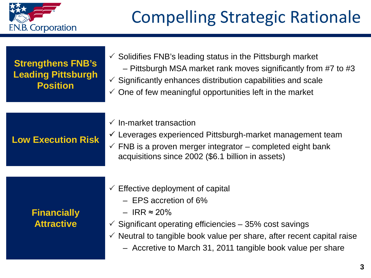

| <b>Strengthens FNB's</b><br><b>Leading Pittsburgh</b><br><b>Position</b> | $\checkmark$ Solidifies FNB's leading status in the Pittsburgh market<br>- Pittsburgh MSA market rank moves significantly from #7 to #3<br>$\checkmark$ Significantly enhances distribution capabilities and scale<br>$\checkmark$ One of few meaningful opportunities left in the market |
|--------------------------------------------------------------------------|-------------------------------------------------------------------------------------------------------------------------------------------------------------------------------------------------------------------------------------------------------------------------------------------|
|                                                                          |                                                                                                                                                                                                                                                                                           |
| <b>Low Execution Risk</b>                                                | $\checkmark$ In-market transaction<br>$\checkmark$ Leverages experienced Pittsburgh-market management team<br>$\checkmark$ FNB is a proven merger integrator – completed eight bank<br>acquisitions since 2002 (\$6.1 billion in assets)                                                  |
|                                                                          |                                                                                                                                                                                                                                                                                           |
| <b>Financially</b>                                                       | $\checkmark$ Effective deployment of capital<br>$-$ EPS accretion of 6%<br>$-$ IRR $\approx$ 20%                                                                                                                                                                                          |
| <b>Attractive</b>                                                        | $\checkmark$ Significant operating efficiencies – 35% cost savings                                                                                                                                                                                                                        |

- $\checkmark$  Neutral to tangible book value per share, after recent capital raise
	- Accretive to March 31, 2011 tangible book value per share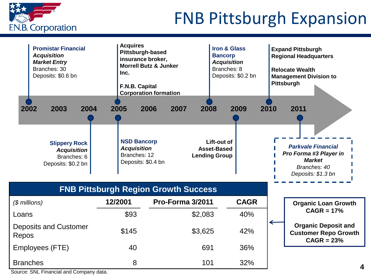

# FNB Pittsburgh Expansion

| <b>Promistar Financial</b><br><b>Acquisition</b><br><b>Market Entry</b><br>Branches: 30<br>Deposits: \$0.6 bn<br>2002<br>2003<br>2004<br><b>Slippery Rock</b> | <b>Acquires</b><br>Pittsburgh-based<br>insurance broker,<br>Inc.<br>F.N.B. Capital<br>2005<br><b>NSD Bancorp</b> | <b>Morrell Butz &amp; Junker</b><br><b>Corporation formation</b><br>2006<br>2007<br>2008 | <b>Iron &amp; Glass</b><br><b>Bancorp</b><br><b>Acquisition</b><br>Branches: 8<br>Deposits: \$0.2 bn<br>2009<br>Lift-out of | 2010 | <b>Expand Pittsburgh</b><br><b>Regional Headquarters</b><br><b>Relocate Wealth</b><br><b>Management Division to</b><br><b>Pittsburgh</b><br>2011<br><b>Parkvale Financial</b> |
|---------------------------------------------------------------------------------------------------------------------------------------------------------------|------------------------------------------------------------------------------------------------------------------|------------------------------------------------------------------------------------------|-----------------------------------------------------------------------------------------------------------------------------|------|-------------------------------------------------------------------------------------------------------------------------------------------------------------------------------|
| <b>Acquisition</b><br>Branches: 6<br>Deposits: \$0.2 bn                                                                                                       | <b>Acquisition</b><br>Branches: 12<br>Deposits: \$0.4 bn                                                         |                                                                                          | Asset-Based<br><b>Lending Group</b>                                                                                         |      | Pro Forma #3 Player in<br><b>Market</b><br>Branches: 40<br>Deposits: \$1.3 bn                                                                                                 |
|                                                                                                                                                               |                                                                                                                  | <b>FNB Pittsburgh Region Growth Success</b>                                              |                                                                                                                             |      |                                                                                                                                                                               |
| $$$ millions)                                                                                                                                                 | 12/2001                                                                                                          | Pro-Forma 3/2011                                                                         | <b>CAGR</b>                                                                                                                 |      | <b>Organic Loan Growth</b>                                                                                                                                                    |
| Loans                                                                                                                                                         | \$93                                                                                                             | \$2,083                                                                                  | 40%                                                                                                                         |      | $CAGR = 17%$                                                                                                                                                                  |
| <b>Deposits and Customer</b><br>Repos                                                                                                                         | \$145                                                                                                            | \$3,625                                                                                  | 42%                                                                                                                         |      | <b>Organic Deposit and</b><br><b>Customer Repo Growth</b><br>$CAGR = 23%$                                                                                                     |
| Employees (FTE)                                                                                                                                               | 40                                                                                                               | 691                                                                                      | 36%                                                                                                                         |      |                                                                                                                                                                               |
| <b>Branches</b>                                                                                                                                               | 8                                                                                                                | 101                                                                                      | 32%                                                                                                                         |      |                                                                                                                                                                               |

Source: SNL Financial and Company data.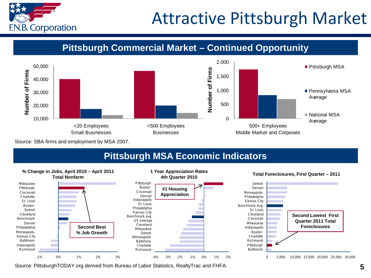

# Attractive Pittsburgh Market

**Pittsburgh Commercial Market Pittsburgh Commercial Market – Continued Opportunity**



Source: SBA firms and employment by MSA 2007.

## **Pittsburgh MSA Economic Indicators**



Source: PittsburghTODAY.org derived from Bureau of Labor Statistics, RealtyTrac and FHFA.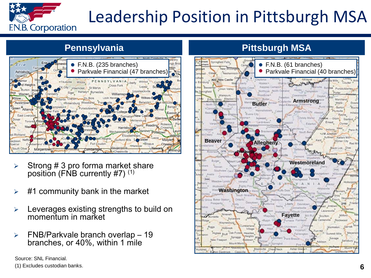

# Leadership Position in Pittsburgh MSA



- $\triangleright$  Strong # 3 pro forma market share position (FNB currently #7) (1)
- #1 community bank in the market
- Leverages existing strengths to build on momentum in market
- $\triangleright$  FNB/Parkvale branch overlap 19 branches, or 40%, within 1 mile

Source: SNL Financial. (1) Excludes custodian banks.

# **Pennsylvania Pittsburgh MSA**

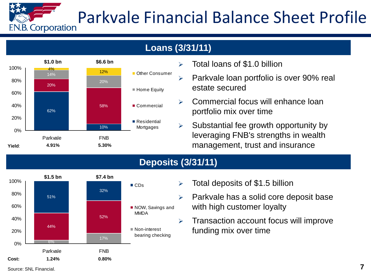# Parkvale Financial Balance Sheet Profile **F.N.B. Corporation**

## **Loans (3/31/11)**



- $\geq$  Total loans of \$1.0 billion
- $\triangleright$  Parkvale loan portfolio is over 90% real estate secured
- $\triangleright$  Commercial focus will enhance loan portfolio mix over time
- $\triangleright$  Substantial fee growth opportunity by leveraging FNB's strengths in wealth management, trust and insurance

## **Deposits (3/31/11)**



- $\triangleright$  Total deposits of \$1.5 billion
- $\triangleright$  Parkvale has a solid core deposit base with high customer loyalty
- $\triangleright$  Transaction account focus will improve funding mix over time

Source: SNL Financial.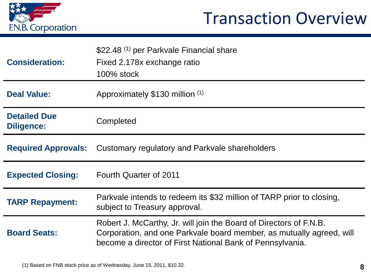

# Transaction Overview

| <b>Consideration:</b>                    | \$22.48 <sup>(1)</sup> per Parkvale Financial share<br>Fixed 2.178x exchange ratio<br>100% stock                                                                                                        |
|------------------------------------------|---------------------------------------------------------------------------------------------------------------------------------------------------------------------------------------------------------|
| <b>Deal Value:</b>                       | Approximately \$130 million (1)                                                                                                                                                                         |
| <b>Detailed Due</b><br><b>Diligence:</b> | Completed                                                                                                                                                                                               |
|                                          | <b>Required Approvals:</b> Customary regulatory and Parkvale shareholders                                                                                                                               |
| <b>Expected Closing:</b>                 | <b>Fourth Quarter of 2011</b>                                                                                                                                                                           |
| <b>TARP Repayment:</b>                   | Parkvale intends to redeem its \$32 million of TARP prior to closing,<br>subject to Treasury approval.                                                                                                  |
| <b>Board Seats:</b>                      | Robert J. McCarthy, Jr. will join the Board of Directors of F.N.B.<br>Corporation, and one Parkvale board member, as mutually agreed, will<br>become a director of First National Bank of Pennsylvania. |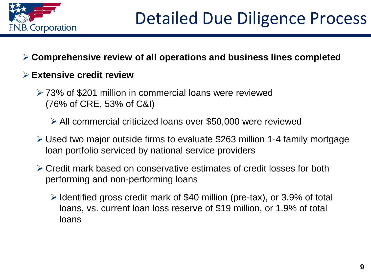

# **Comprehensive review of all operations and business lines completed**

## **Extensive credit review**

 73% of \$201 million in commercial loans were reviewed (76% of CRE, 53% of C&I)

All commercial criticized loans over \$50,000 were reviewed

- Used two major outside firms to evaluate \$263 million 1-4 family mortgage loan portfolio serviced by national service providers
- Credit mark based on conservative estimates of credit losses for both performing and non-performing loans
	- $\triangleright$  Identified gross credit mark of \$40 million (pre-tax), or 3.9% of total loans, vs. current loan loss reserve of \$19 million, or 1.9% of total loans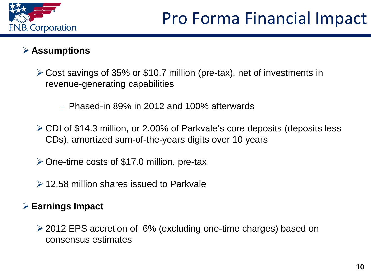

## **Assumptions**

- Cost savings of 35% or \$10.7 million (pre-tax), net of investments in revenue-generating capabilities
	- − Phased-in 89% in 2012 and 100% afterwards
- CDI of \$14.3 million, or 2.00% of Parkvale's core deposits (deposits less CDs), amortized sum-of-the-years digits over 10 years
- $\geq$  One-time costs of \$17.0 million, pre-tax
- **► 12.58 million shares issued to Parkvale**

## **Earnings Impact**

 2012 EPS accretion of 6% (excluding one-time charges) based on consensus estimates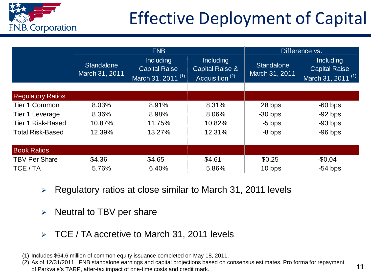

# Effective Deployment of Capital

|                          | <b>FNB</b>                          |                                                                           |                                                                              | Difference vs.                      |                                                              |  |
|--------------------------|-------------------------------------|---------------------------------------------------------------------------|------------------------------------------------------------------------------|-------------------------------------|--------------------------------------------------------------|--|
|                          | <b>Standalone</b><br>March 31, 2011 | <b>Including</b><br><b>Capital Raise</b><br>March 31, 2011 <sup>(1)</sup> | <b>Including</b><br><b>Capital Raise &amp;</b><br>Acquisition <sup>(2)</sup> | <b>Standalone</b><br>March 31, 2011 | Including<br><b>Capital Raise</b><br>March 31, 2011 $^{(1)}$ |  |
|                          |                                     |                                                                           |                                                                              |                                     |                                                              |  |
| <b>Regulatory Ratios</b> |                                     |                                                                           |                                                                              |                                     |                                                              |  |
| Tier 1 Common            | 8.03%                               | 8.91%                                                                     | 8.31%                                                                        | 28 bps                              | $-60$ bps                                                    |  |
| Tier 1 Leverage          | 8.36%                               | 8.98%                                                                     | 8.06%                                                                        | $-30$ bps                           | $-92$ bps                                                    |  |
| <b>Tier 1 Risk-Based</b> | 10.87%                              | 11.75%                                                                    | 10.82%                                                                       | $-5$ bps                            | $-93$ bps                                                    |  |
| <b>Total Risk-Based</b>  | 12.39%                              | 13.27%                                                                    | 12.31%                                                                       | $-8$ bps                            | $-96$ bps                                                    |  |
| <b>Book Ratios</b>       |                                     |                                                                           |                                                                              |                                     |                                                              |  |
| <b>TBV Per Share</b>     | \$4.36                              | \$4.65                                                                    | \$4.61                                                                       | \$0.25                              | $-$0.04$                                                     |  |
| TCE / TA                 | 5.76%                               | 6.40%                                                                     | 5.86%                                                                        | 10 bps                              | $-54$ bps                                                    |  |

- $\triangleright$  Regulatory ratios at close similar to March 31, 2011 levels
- $\triangleright$  Neutral to TBV per share
- $\triangleright$  TCE / TA accretive to March 31, 2011 levels

<sup>(1)</sup> Includes \$64.6 million of common equity issuance completed on May 18, 2011.

<sup>(2)</sup> As of 12/31/2011. FNB standalone earnings and capital projections based on consensus estimates. Pro forma for repayment of Parkvale's TARP, after-tax impact of one-time costs and credit mark.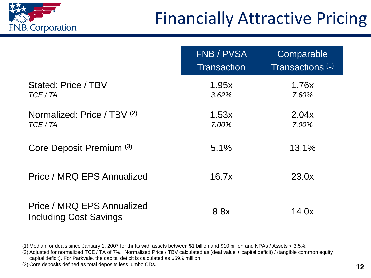

|                                                             | <b>FNB / PVSA</b><br><b>Transaction</b> | Comparable<br>Transactions <sup>(1)</sup> |
|-------------------------------------------------------------|-----------------------------------------|-------------------------------------------|
| Stated: Price / TBV<br>TCE / TA                             | 1.95x<br>3.62%                          | 1.76x<br>7.60%                            |
| Normalized: Price / TBV (2)<br>TCE / TA                     | 1.53x<br>7.00%                          | 2.04x<br>7.00%                            |
| Core Deposit Premium (3)                                    | $5.1\%$                                 | 13.1%                                     |
| Price / MRQ EPS Annualized                                  | 16.7x                                   | 23.0x                                     |
| Price / MRQ EPS Annualized<br><b>Including Cost Savings</b> | 8.8x                                    | 14.0x                                     |

(1) Median for deals since January 1, 2007 for thrifts with assets between \$1 billion and \$10 billion and NPAs / Assets < 3.5%.

(2) Adjusted for normalized TCE / TA of 7%. Normalized Price / TBV calculated as (deal value + capital deficit) / (tangible common equity +

capital deficit). For Parkvale, the capital deficit is calculated as \$59.9 million.

(3) Core deposits defined as total deposits less jumbo CDs. **12**